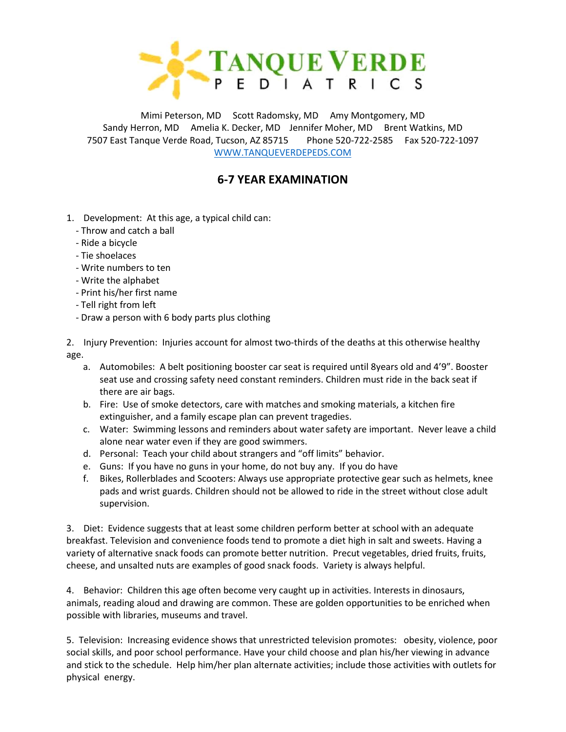

Mimi Peterson, MD Scott Radomsky, MD Amy Montgomery, MD Sandy Herron, MD Amelia K. Decker, MD Jennifer Moher, MD Brent Watkins, MD 7507 East Tanque Verde Road, Tucson, AZ 85715 Phone 520-722-2585 Fax 520-722-1097 [WWW.TANQUEVERDEPEDS.COM](http://www.tanqueverdepeds.com/)

## **6-7 YEAR EXAMINATION**

- 1. Development: At this age, a typical child can:
	- Throw and catch a ball
	- Ride a bicycle
	- Tie shoelaces
	- Write numbers to ten
	- Write the alphabet
	- Print his/her first name
	- Tell right from left
	- Draw a person with 6 body parts plus clothing

2. Injury Prevention: Injuries account for almost two-thirds of the deaths at this otherwise healthy age.

- a. Automobiles: A belt positioning booster car seat is required until 8years old and 4'9". Booster seat use and crossing safety need constant reminders. Children must ride in the back seat if there are air bags.
- b. Fire: Use of smoke detectors, care with matches and smoking materials, a kitchen fire extinguisher, and a family escape plan can prevent tragedies.
- c. Water: Swimming lessons and reminders about water safety are important. Never leave a child alone near water even if they are good swimmers.
- d. Personal: Teach your child about strangers and "off limits" behavior.
- e. Guns: If you have no guns in your home, do not buy any. If you do have
- f. Bikes, Rollerblades and Scooters: Always use appropriate protective gear such as helmets, knee pads and wrist guards. Children should not be allowed to ride in the street without close adult supervision.

3. Diet: Evidence suggests that at least some children perform better at school with an adequate breakfast. Television and convenience foods tend to promote a diet high in salt and sweets. Having a variety of alternative snack foods can promote better nutrition. Precut vegetables, dried fruits, fruits, cheese, and unsalted nuts are examples of good snack foods. Variety is always helpful.

4. Behavior: Children this age often become very caught up in activities. Interests in dinosaurs, animals, reading aloud and drawing are common. These are golden opportunities to be enriched when possible with libraries, museums and travel.

5. Television: Increasing evidence shows that unrestricted television promotes: obesity, violence, poor social skills, and poor school performance. Have your child choose and plan his/her viewing in advance and stick to the schedule. Help him/her plan alternate activities; include those activities with outlets for physical energy.